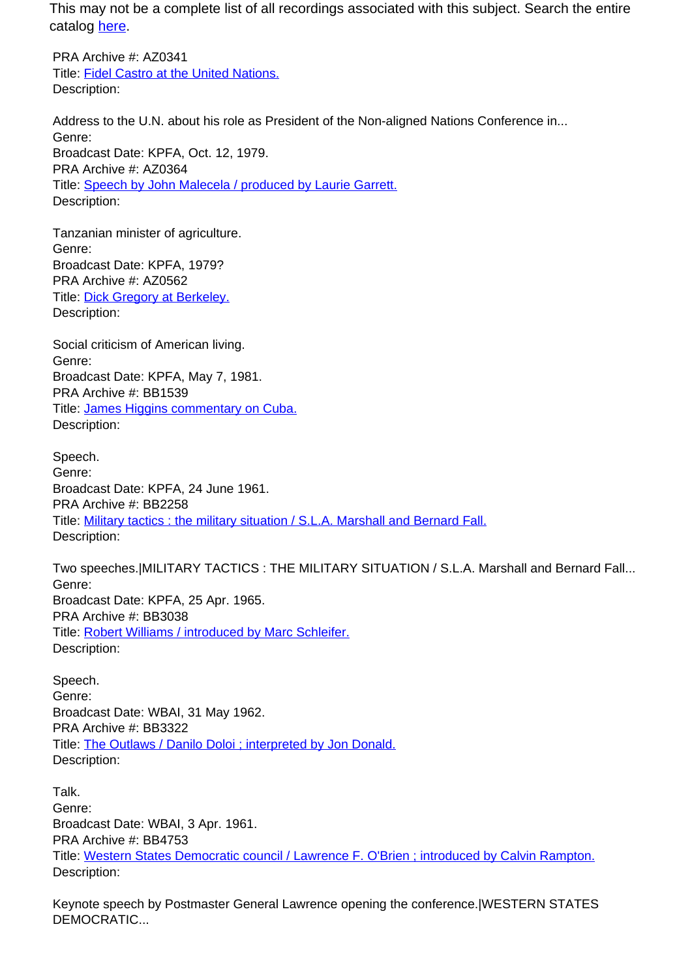PRA Archive #: AZ0341 Title: Fidel Castro at the United Nations. Description:

Address to the U.N. about his role as President of the Non-aligned Nations Conference in... Genre: Broadcast Date: KPFA, Oct. 12, 1979. PRA Archive #: AZ0364 Title: Speech by John Malecela / produced by Laurie Garrett. Description:

Tanzanian minister of agriculture. Genre: Broadcast Date: KPFA, 1979? PRA Archive #: AZ0562 Title: Dick Gregory at Berkeley. Description:

Social criticism of American living. Genre: Broadcast Date: KPFA, May 7, 1981. PRA Archive #: BB1539 Title: James Higgins commentary on Cuba. Description:

Speech. Genre: Broadcast Date: KPFA, 24 June 1961. PRA Archive #: BB2258 Title: Military tactics : the military situation / S.L.A. Marshall and Bernard Fall. Description:

Two speeches.|MILITARY TACTICS : THE MILITARY SITUATION / S.L.A. Marshall and Bernard Fall... Genre: Broadcast Date: KPFA, 25 Apr. 1965. PRA Archive #: BB3038 Title: Robert Williams / introduced by Marc Schleifer. Description:

Speech. Genre: Broadcast Date: WBAI, 31 May 1962. PRA Archive #: BB3322 Title: The Outlaws / Danilo Doloi ; interpreted by Jon Donald. Description:

Talk. Genre: Broadcast Date: WBAI, 3 Apr. 1961. PRA Archive #: BB4753 Title: Western States Democratic council / Lawrence F. O'Brien ; introduced by Calvin Rampton. Description:

Keynote speech by Postmaster General Lawrence opening the conference.|WESTERN STATES DEMOCRATIC...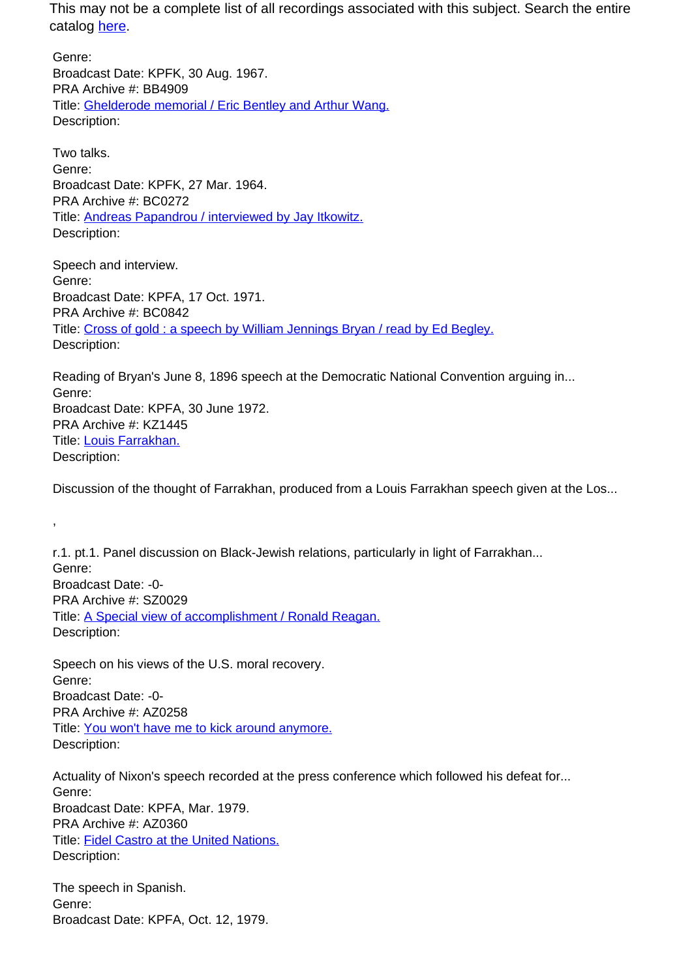Genre: Broadcast Date: KPFK, 30 Aug. 1967. PRA Archive #: BB4909 Title: Ghelderode memorial / Eric Bentley and Arthur Wang. Description:

Two talks. Genre: Broadcast Date: KPFK, 27 Mar. 1964. PRA Archive #: BC0272 Title: Andreas Papandrou / interviewed by Jay Itkowitz. Description:

Speech and interview. Genre: Broadcast Date: KPFA, 17 Oct. 1971. PRA Archive #: BC0842 Title: Cross of gold : a speech by William Jennings Bryan / read by Ed Begley. Description:

Reading of Bryan's June 8, 1896 speech at the Democratic National Convention arguing in... Genre: Broadcast Date: KPFA, 30 June 1972. PRA Archive #: KZ1445 Title: Louis Farrakhan. Description:

Discussion of the thought of Farrakhan, produced from a Louis Farrakhan speech given at the Los...

r.1. pt.1. Panel discussion on Black-Jewish relations, particularly in light of Farrakhan... Genre: Broadcast Date: -0- PRA Archive #: SZ0029 Title: A Special view of accomplishment / Ronald Reagan. Description:

Speech on his views of the U.S. moral recovery. Genre: Broadcast Date: -0- PRA Archive #: AZ0258 Title: You won't have me to kick around anymore. Description:

,

Actuality of Nixon's speech recorded at the press conference which followed his defeat for... Genre: Broadcast Date: KPFA, Mar. 1979. PRA Archive #: AZ0360 Title: Fidel Castro at the United Nations. Description:

The speech in Spanish. Genre: Broadcast Date: KPFA, Oct. 12, 1979.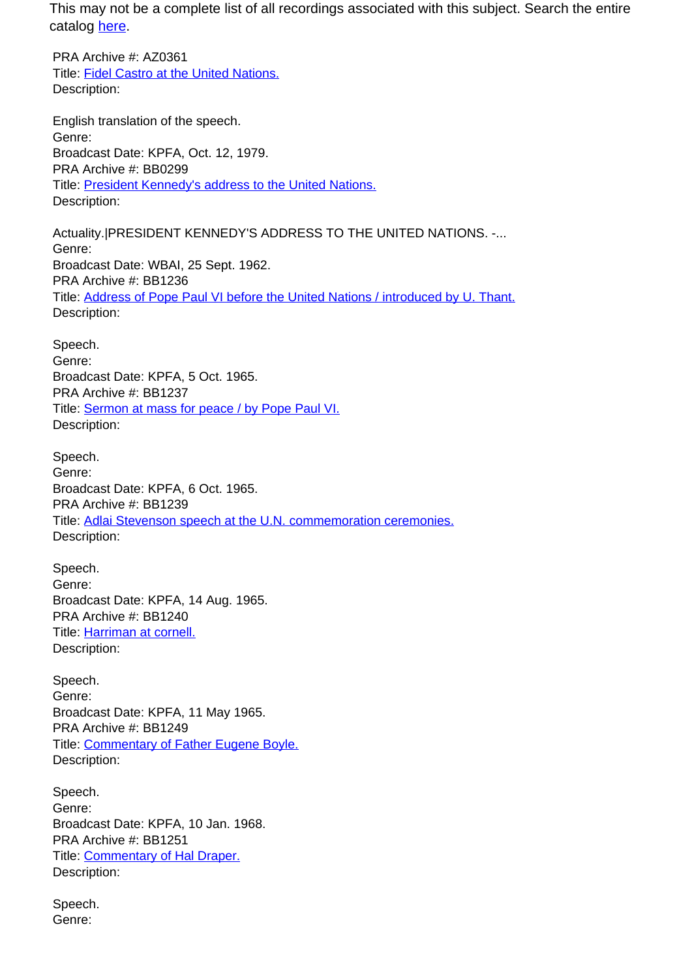PRA Archive #: AZ0361 Title: Fidel Castro at the United Nations. Description:

English translation of the speech. Genre: Broadcast Date: KPFA, Oct. 12, 1979. PRA Archive #: BB0299 Title: President Kennedy's address to the United Nations. Description:

Actuality.|PRESIDENT KENNEDY'S ADDRESS TO THE UNITED NATIONS. -... Genre: Broadcast Date: WBAI, 25 Sept. 1962. PRA Archive #: BB1236 Title: Address of Pope Paul VI before the United Nations / introduced by U. Thant. Description:

Speech. Genre: Broadcast Date: KPFA, 5 Oct. 1965. PRA Archive #: BB1237 Title: Sermon at mass for peace / by Pope Paul VI. Description:

Speech. Genre: Broadcast Date: KPFA, 6 Oct. 1965. PRA Archive #: BB1239 Title: Adlai Stevenson speech at the U.N. commemoration ceremonies. Description:

Speech. Genre: Broadcast Date: KPFA, 14 Aug. 1965. PRA Archive #: BB1240 Title: Harriman at cornell. Description:

Speech. Genre: Broadcast Date: KPFA, 11 May 1965. PRA Archive #: BB1249 Title: Commentary of Father Eugene Boyle. Description:

Speech. Genre: Broadcast Date: KPFA, 10 Jan. 1968. PRA Archive #: BB1251 Title: Commentary of Hal Draper. Description:

Speech. Genre: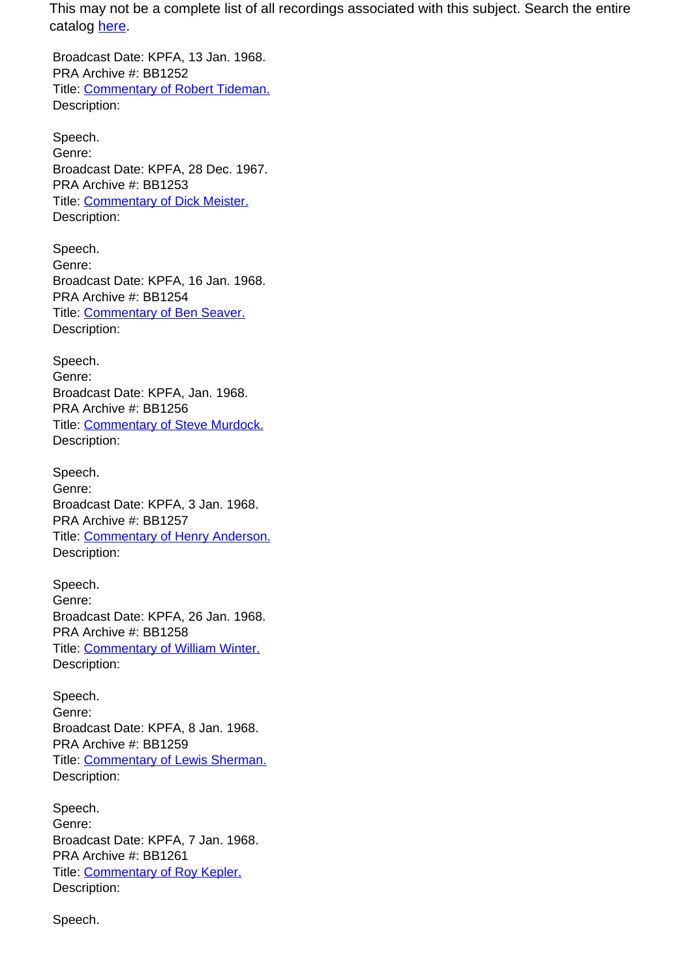Broadcast Date: KPFA, 13 Jan. 1968. PRA Archive #: BB1252 Title: Commentary of Robert Tideman. Description:

Speech. Genre: Broadcast Date: KPFA, 28 Dec. 1967. PRA Archive #: BB1253 Title: Commentary of Dick Meister. Description:

Speech. Genre: Broadcast Date: KPFA, 16 Jan. 1968. PRA Archive #: BB1254 Title: Commentary of Ben Seaver. Description:

Speech. Genre: Broadcast Date: KPFA, Jan. 1968. PRA Archive #: BB1256 Title: Commentary of Steve Murdock. Description:

Speech. Genre: Broadcast Date: KPFA, 3 Jan. 1968. PRA Archive #: BB1257 Title: Commentary of Henry Anderson. Description:

Speech. Genre: Broadcast Date: KPFA, 26 Jan. 1968. PRA Archive #: BB1258 Title: Commentary of William Winter. Description:

Speech. Genre: Broadcast Date: KPFA, 8 Jan. 1968. PRA Archive #: BB1259 Title: Commentary of Lewis Sherman. Description:

Speech. Genre: Broadcast Date: KPFA, 7 Jan. 1968. PRA Archive #: BB1261 Title: Commentary of Roy Kepler. Description:

Speech.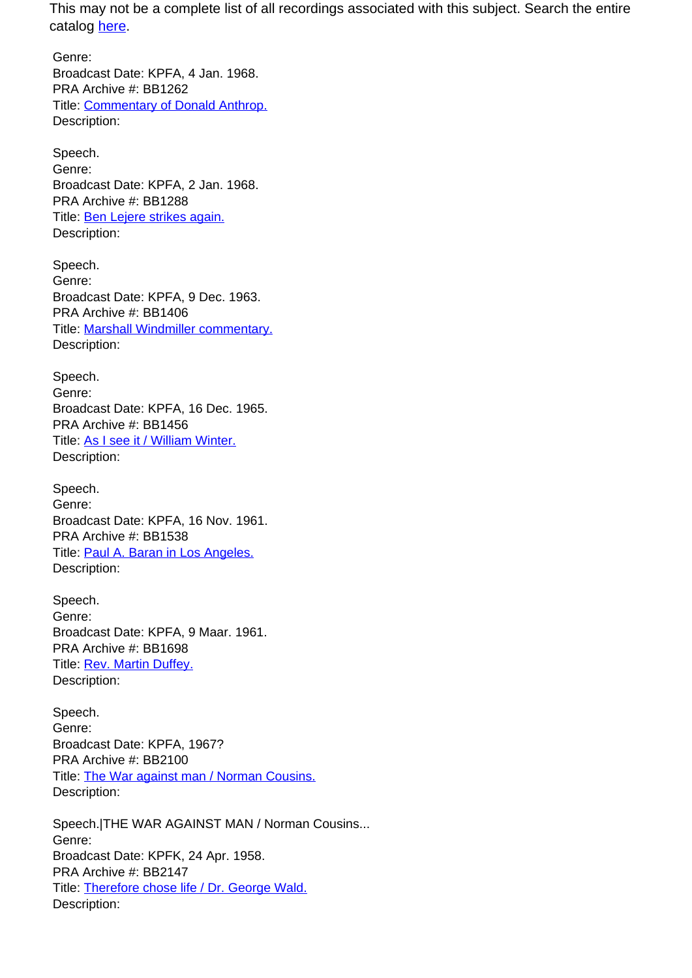Genre: Broadcast Date: KPFA, 4 Jan. 1968. PRA Archive #: BB1262 Title: Commentary of Donald Anthrop. Description:

Speech. Genre: Broadcast Date: KPFA, 2 Jan. 1968. PRA Archive #: BB1288 Title: Ben Lejere strikes again. Description:

Speech. Genre: Broadcast Date: KPFA, 9 Dec. 1963. PRA Archive #: BB1406 Title: Marshall Windmiller commentary. Description:

Speech. Genre: Broadcast Date: KPFA, 16 Dec. 1965. PRA Archive #: BB1456 Title: As I see it / William Winter. Description:

Speech. Genre: Broadcast Date: KPFA, 16 Nov. 1961. PRA Archive #: BB1538 Title: Paul A. Baran in Los Angeles. Description:

Speech. Genre: Broadcast Date: KPFA, 9 Maar. 1961. PRA Archive #: BB1698 Title: Rev. Martin Duffey. Description:

Speech. Genre: Broadcast Date: KPFA, 1967? PRA Archive #: BB2100 Title: The War against man / Norman Cousins. Description:

Speech.|THE WAR AGAINST MAN / Norman Cousins... Genre: Broadcast Date: KPFK, 24 Apr. 1958. PRA Archive #: BB2147 Title: Therefore chose life / Dr. George Wald. Description: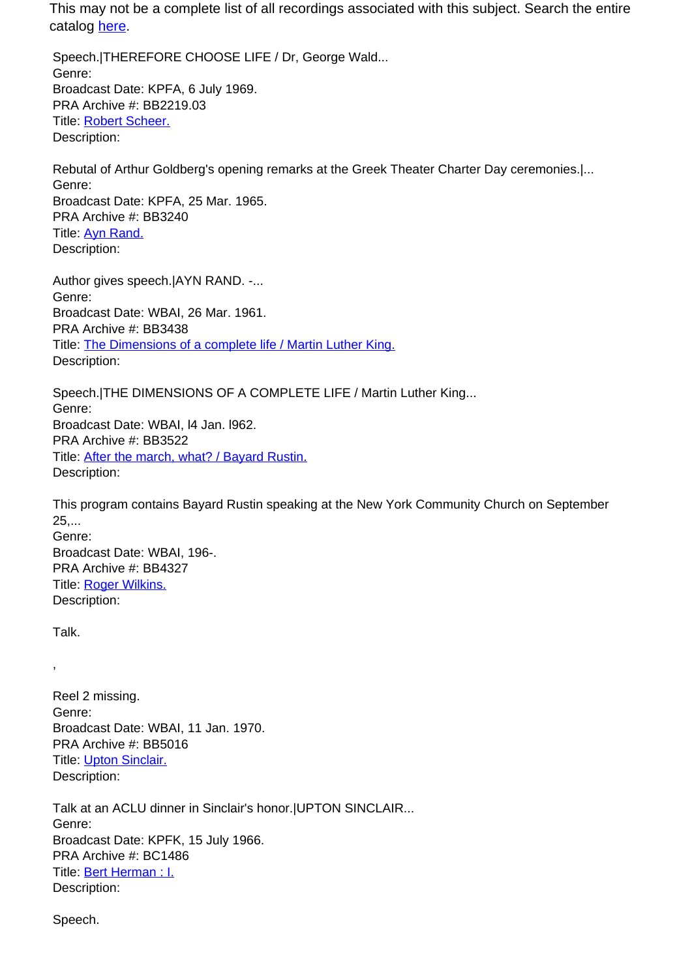Speech.|THEREFORE CHOOSE LIFE / Dr, George Wald... Genre: Broadcast Date: KPFA, 6 July 1969. PRA Archive #: BB2219.03 Title: Robert Scheer. Description:

Rebutal of Arthur Goldberg's opening remarks at the Greek Theater Charter Day ceremonies.|... Genre: Broadcast Date: KPFA, 25 Mar. 1965. PRA Archive #: BB3240 Title: **Ayn Rand.** Description:

Author gives speech.|AYN RAND. -... Genre: Broadcast Date: WBAI, 26 Mar. 1961. PRA Archive #: BB3438 Title: The Dimensions of a complete life / Martin Luther King. Description:

Speech.|THE DIMENSIONS OF A COMPLETE LIFE / Martin Luther King... Genre: Broadcast Date: WBAI, l4 Jan. l962. PRA Archive #: BB3522 Title: **After the march, what? / Bayard Rustin.** Description:

This program contains Bayard Rustin speaking at the New York Community Church on September 25,... Genre: Broadcast Date: WBAI, 196-. PRA Archive #: BB4327 Title: Roger Wilkins. Description:

Talk.

,

Reel 2 missing. Genre: Broadcast Date: WBAI, 11 Jan. 1970. PRA Archive #: BB5016 Title: Upton Sinclair. Description:

Talk at an ACLU dinner in Sinclair's honor.|UPTON SINCLAIR... Genre: Broadcast Date: KPFK, 15 July 1966. PRA Archive #: BC1486 Title: Bert Herman : I. Description:

Speech.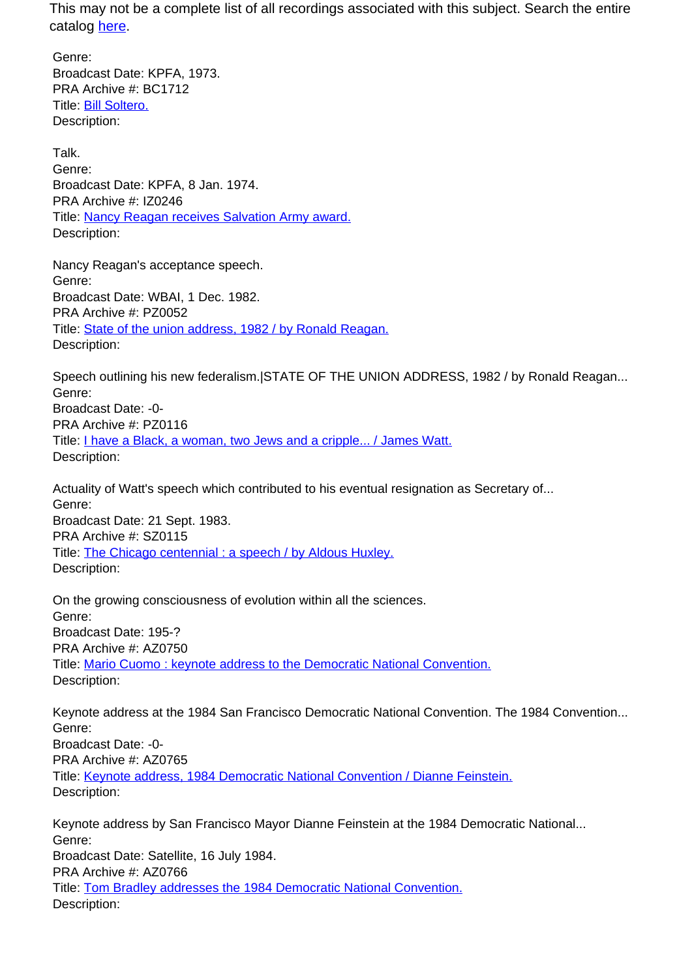Genre: Broadcast Date: KPFA, 1973. PRA Archive #: BC1712 Title: **Bill Soltero.** Description:

Talk. Genre: Broadcast Date: KPFA, 8 Jan. 1974. PRA Archive #: IZ0246 Title: Nancy Reagan receives Salvation Army award. Description:

Nancy Reagan's acceptance speech. Genre: Broadcast Date: WBAI, 1 Dec. 1982. PRA Archive #: PZ0052 Title: State of the union address, 1982 / by Ronald Reagan. Description:

Speech outlining his new federalism.|STATE OF THE UNION ADDRESS, 1982 / by Ronald Reagan... Genre: Broadcast Date: -0- PRA Archive #: PZ0116 Title: I have a Black, a woman, two Jews and a cripple... / James Watt. Description:

Actuality of Watt's speech which contributed to his eventual resignation as Secretary of... Genre: Broadcast Date: 21 Sept. 1983. PRA Archive #: SZ0115 Title: The Chicago centennial : a speech / by Aldous Huxley. Description:

On the growing consciousness of evolution within all the sciences. Genre: Broadcast Date: 195-? PRA Archive #: AZ0750 Title: Mario Cuomo : keynote address to the Democratic National Convention. Description:

Keynote address at the 1984 San Francisco Democratic National Convention. The 1984 Convention... Genre: Broadcast Date: -0- PRA Archive #: AZ0765 Title: Keynote address, 1984 Democratic National Convention / Dianne Feinstein. Description:

Keynote address by San Francisco Mayor Dianne Feinstein at the 1984 Democratic National... Genre: Broadcast Date: Satellite, 16 July 1984. PRA Archive #: AZ0766 Title: Tom Bradley addresses the 1984 Democratic National Convention. Description: